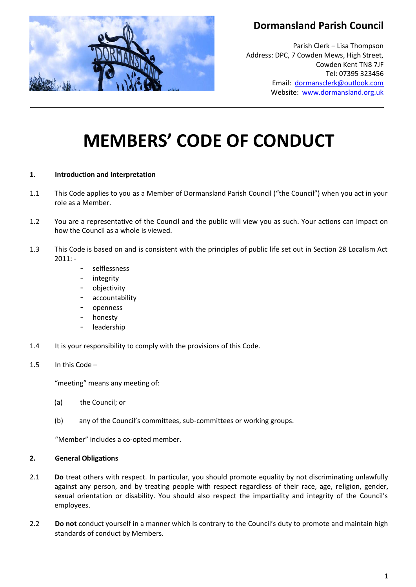

# **Dormansland Parish Council**

Parish Clerk – Lisa Thompson Address: DPC, 7 Cowden Mews, High Street, Cowden Kent TN8 7JF Tel: 07395 323456 Email: [dormansclerk@outlook.com](mailto:dormansclerk@outlook.com) Website: [www.dormansland.org.uk](http://www.dormansland.org.uk/)

# **MEMBERS' CODE OF CONDUCT**

# **1. Introduction and Interpretation**

- 1.1 This Code applies to you as a Member of Dormansland Parish Council ("the Council") when you act in your role as a Member.
- 1.2 You are a representative of the Council and the public will view you as such. Your actions can impact on how the Council as a whole is viewed.
- 1.3 This Code is based on and is consistent with the principles of public life set out in Section 28 Localism Act  $2011: -$ 
	- selflessness
	- integrity
	- objectivity
	- accountability
	- openness
	- honesty
	- leadership
- 1.4 It is your responsibility to comply with the provisions of this Code.

#### 1.5 In this Code –

"meeting" means any meeting of:

- (a) the Council; or
- (b) any of the Council's committees, sub-committees or working groups.

"Member" includes a co-opted member.

#### **2. General Obligations**

- 2.1 **Do** treat others with respect. In particular, you should promote equality by not discriminating unlawfully against any person, and by treating people with respect regardless of their race, age, religion, gender, sexual orientation or disability. You should also respect the impartiality and integrity of the Council's employees.
- 2.2 **Do not** conduct yourself in a manner which is contrary to the Council's duty to promote and maintain high standards of conduct by Members.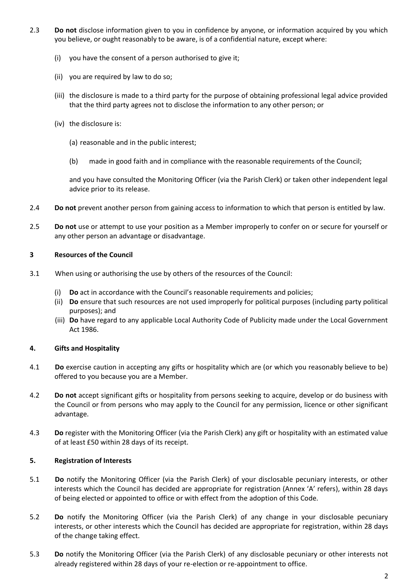- 2.3 **Do not** disclose information given to you in confidence by anyone, or information acquired by you which you believe, or ought reasonably to be aware, is of a confidential nature, except where:
	- (i) you have the consent of a person authorised to give it;
	- (ii) you are required by law to do so;
	- (iii) the disclosure is made to a third party for the purpose of obtaining professional legal advice provided that the third party agrees not to disclose the information to any other person; or
	- (iv) the disclosure is:
		- (a) reasonable and in the public interest;
		- (b) made in good faith and in compliance with the reasonable requirements of the Council;

and you have consulted the Monitoring Officer (via the Parish Clerk) or taken other independent legal advice prior to its release.

- 2.4 **Do not** prevent another person from gaining access to information to which that person is entitled by law.
- 2.5 **Do not** use or attempt to use your position as a Member improperly to confer on or secure for yourself or any other person an advantage or disadvantage.

# **3 Resources of the Council**

- 3.1 When using or authorising the use by others of the resources of the Council:
	- (i) **Do** act in accordance with the Council's reasonable requirements and policies;
	- (ii) **Do** ensure that such resources are not used improperly for political purposes (including party political purposes); and
	- (iii) **Do** have regard to any applicable Local Authority Code of Publicity made under the Local Government Act 1986.

# **4. Gifts and Hospitality**

- 4.1 **Do** exercise caution in accepting any gifts or hospitality which are (or which you reasonably believe to be) offered to you because you are a Member.
- 4.2 **Do not** accept significant gifts or hospitality from persons seeking to acquire, develop or do business with the Council or from persons who may apply to the Council for any permission, licence or other significant advantage.
- 4.3 **Do** register with the Monitoring Officer (via the Parish Clerk) any gift or hospitality with an estimated value of at least £50 within 28 days of its receipt.

# **5. Registration of Interests**

- 5.1 **Do** notify the Monitoring Officer (via the Parish Clerk) of your disclosable pecuniary interests, or other interests which the Council has decided are appropriate for registration (Annex 'A' refers), within 28 days of being elected or appointed to office or with effect from the adoption of this Code.
- 5.2 **Do** notify the Monitoring Officer (via the Parish Clerk) of any change in your disclosable pecuniary interests, or other interests which the Council has decided are appropriate for registration, within 28 days of the change taking effect.
- 5.3 **Do** notify the Monitoring Officer (via the Parish Clerk) of any disclosable pecuniary or other interests not already registered within 28 days of your re-election or re-appointment to office.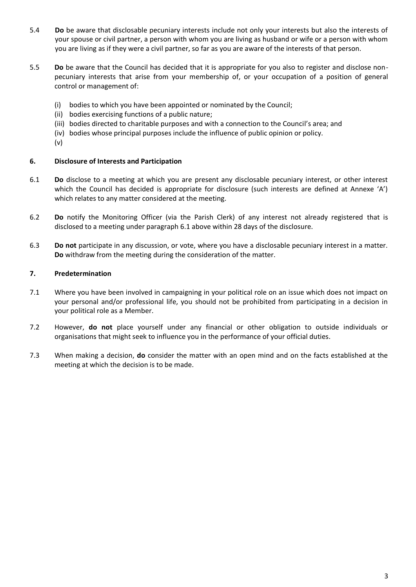- 5.4 **Do** be aware that disclosable pecuniary interests include not only your interests but also the interests of your spouse or civil partner, a person with whom you are living as husband or wife or a person with whom you are living as if they were a civil partner, so far as you are aware of the interests of that person.
- 5.5 **Do** be aware that the Council has decided that it is appropriate for you also to register and disclose nonpecuniary interests that arise from your membership of, or your occupation of a position of general control or management of:
	- (i) bodies to which you have been appointed or nominated by the Council;
	- (ii) bodies exercising functions of a public nature;
	- (iii) bodies directed to charitable purposes and with a connection to the Council's area; and
	- (iv) bodies whose principal purposes include the influence of public opinion or policy.
	- (v)

# **6. Disclosure of Interests and Participation**

- 6.1 **Do** disclose to a meeting at which you are present any disclosable pecuniary interest, or other interest which the Council has decided is appropriate for disclosure (such interests are defined at Annexe 'A') which relates to any matter considered at the meeting.
- 6.2 **Do** notify the Monitoring Officer (via the Parish Clerk) of any interest not already registered that is disclosed to a meeting under paragraph 6.1 above within 28 days of the disclosure.
- 6.3 **Do not** participate in any discussion, or vote, where you have a disclosable pecuniary interest in a matter. **Do** withdraw from the meeting during the consideration of the matter.

# **7. Predetermination**

- 7.1 Where you have been involved in campaigning in your political role on an issue which does not impact on your personal and/or professional life, you should not be prohibited from participating in a decision in your political role as a Member.
- 7.2 However, **do not** place yourself under any financial or other obligation to outside individuals or organisations that might seek to influence you in the performance of your official duties.
- 7.3 When making a decision, **do** consider the matter with an open mind and on the facts established at the meeting at which the decision is to be made.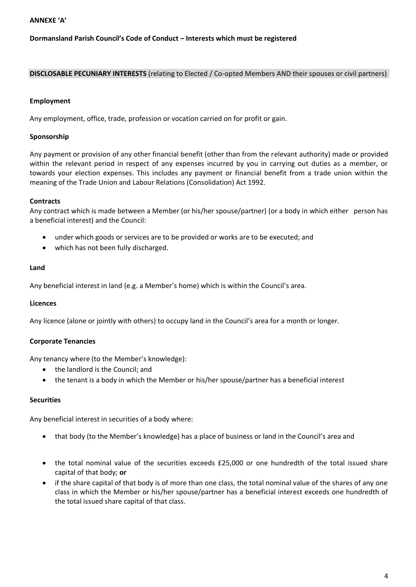#### **ANNEXE 'A'**

# **Dormansland Parish Council's Code of Conduct – Interests which must be registered**

#### **DISCLOSABLE PECUNIARY INTERESTS** (relating to Elected / Co-opted Members AND their spouses or civil partners)

#### **Employment**

Any employment, office, trade, profession or vocation carried on for profit or gain.

#### **Sponsorship**

Any payment or provision of any other financial benefit (other than from the relevant authority) made or provided within the relevant period in respect of any expenses incurred by you in carrying out duties as a member, or towards your election expenses. This includes any payment or financial benefit from a trade union within the meaning of the Trade Union and Labour Relations (Consolidation) Act 1992.

#### **Contracts**

Any contract which is made between a Member (or his/her spouse/partner) (or a body in which either person has a beneficial interest) and the Council:

- under which goods or services are to be provided or works are to be executed; and
- which has not been fully discharged.

#### **Land**

Any beneficial interest in land (e.g. a Member's home) which is within the Council's area.

#### **Licences**

Any licence (alone or jointly with others) to occupy land in the Council's area for a month or longer.

#### **Corporate Tenancies**

Any tenancy where (to the Member's knowledge):

- the landlord is the Council; and
- the tenant is a body in which the Member or his/her spouse/partner has a beneficial interest

#### **Securities**

Any beneficial interest in securities of a body where:

- that body (to the Member's knowledge) has a place of business or land in the Council's area and
- the total nominal value of the securities exceeds £25,000 or one hundredth of the total issued share capital of that body; **or**
- if the share capital of that body is of more than one class, the total nominal value of the shares of any one class in which the Member or his/her spouse/partner has a beneficial interest exceeds one hundredth of the total issued share capital of that class.